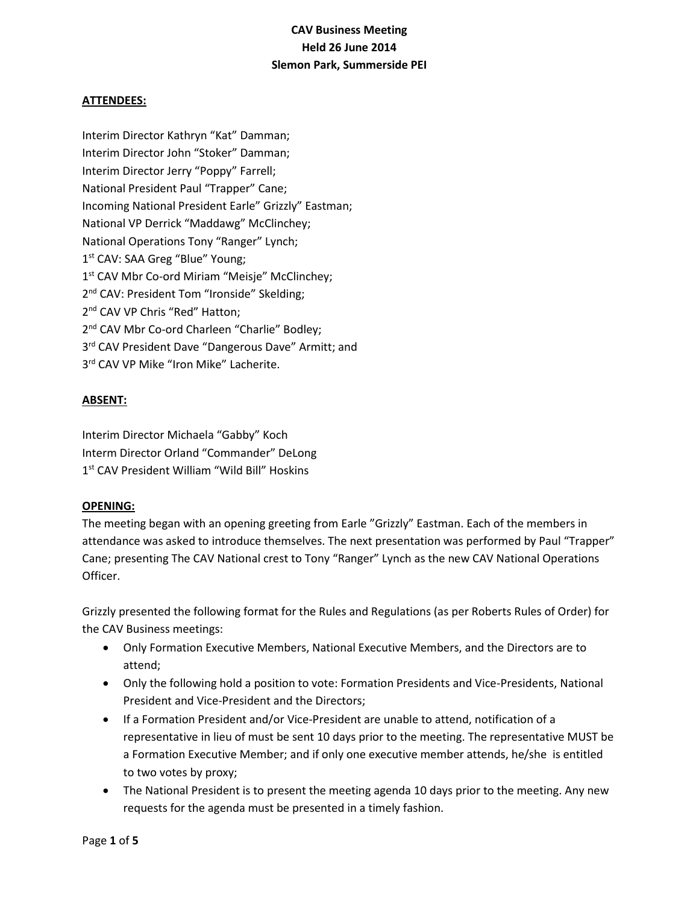# **CAV Business Meeting Held 26 June 2014 Slemon Park, Summerside PEI**

# **ATTENDEES:**

Interim Director Kathryn "Kat" Damman; Interim Director John "Stoker" Damman; Interim Director Jerry "Poppy" Farrell; National President Paul "Trapper" Cane; Incoming National President Earle" Grizzly" Eastman; National VP Derrick "Maddawg" McClinchey; National Operations Tony "Ranger" Lynch; 1<sup>st</sup> CAV: SAA Greg "Blue" Young; 1<sup>st</sup> CAV Mbr Co-ord Miriam "Meisje" McClinchey; 2<sup>nd</sup> CAV: President Tom "Ironside" Skelding; 2<sup>nd</sup> CAV VP Chris "Red" Hatton; 2<sup>nd</sup> CAV Mbr Co-ord Charleen "Charlie" Bodley; 3<sup>rd</sup> CAV President Dave "Dangerous Dave" Armitt; and 3<sup>rd</sup> CAV VP Mike "Iron Mike" Lacherite.

#### **ABSENT:**

Interim Director Michaela "Gabby" Koch Interm Director Orland "Commander" DeLong 1<sup>st</sup> CAV President William "Wild Bill" Hoskins

#### **OPENING:**

The meeting began with an opening greeting from Earle "Grizzly" Eastman. Each of the members in attendance was asked to introduce themselves. The next presentation was performed by Paul "Trapper" Cane; presenting The CAV National crest to Tony "Ranger" Lynch as the new CAV National Operations Officer.

Grizzly presented the following format for the Rules and Regulations (as per Roberts Rules of Order) for the CAV Business meetings:

- Only Formation Executive Members, National Executive Members, and the Directors are to attend;
- Only the following hold a position to vote: Formation Presidents and Vice-Presidents, National President and Vice-President and the Directors;
- If a Formation President and/or Vice-President are unable to attend, notification of a representative in lieu of must be sent 10 days prior to the meeting. The representative MUST be a Formation Executive Member; and if only one executive member attends, he/she is entitled to two votes by proxy;
- The National President is to present the meeting agenda 10 days prior to the meeting. Any new requests for the agenda must be presented in a timely fashion.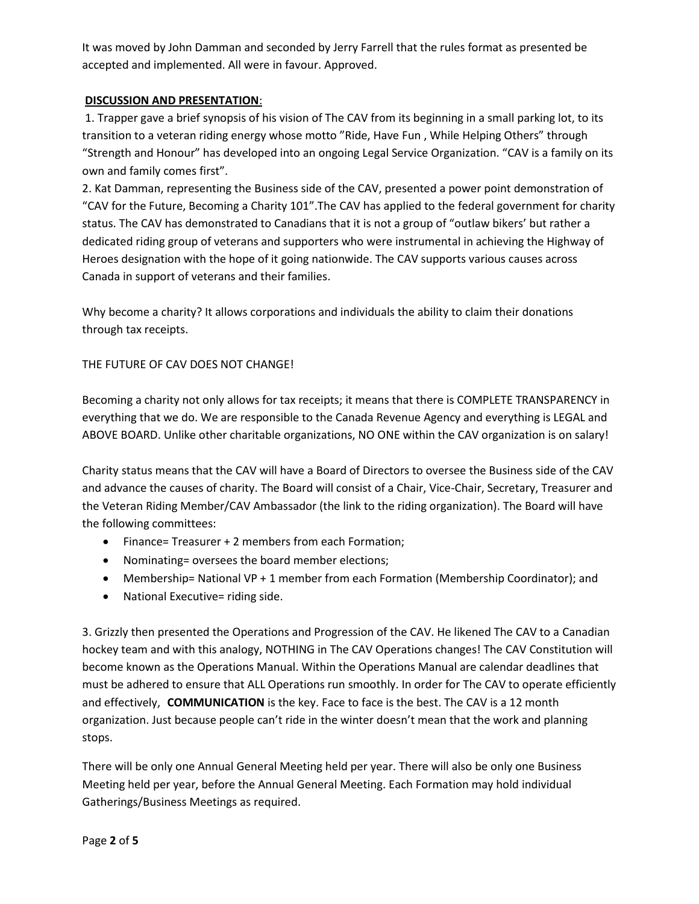It was moved by John Damman and seconded by Jerry Farrell that the rules format as presented be accepted and implemented. All were in favour. Approved.

# **DISCUSSION AND PRESENTATION**:

1. Trapper gave a brief synopsis of his vision of The CAV from its beginning in a small parking lot, to its transition to a veteran riding energy whose motto "Ride, Have Fun , While Helping Others" through "Strength and Honour" has developed into an ongoing Legal Service Organization. "CAV is a family on its own and family comes first".

2. Kat Damman, representing the Business side of the CAV, presented a power point demonstration of "CAV for the Future, Becoming a Charity 101".The CAV has applied to the federal government for charity status. The CAV has demonstrated to Canadians that it is not a group of "outlaw bikers' but rather a dedicated riding group of veterans and supporters who were instrumental in achieving the Highway of Heroes designation with the hope of it going nationwide. The CAV supports various causes across Canada in support of veterans and their families.

Why become a charity? It allows corporations and individuals the ability to claim their donations through tax receipts.

# THE FUTURE OF CAV DOES NOT CHANGE!

Becoming a charity not only allows for tax receipts; it means that there is COMPLETE TRANSPARENCY in everything that we do. We are responsible to the Canada Revenue Agency and everything is LEGAL and ABOVE BOARD. Unlike other charitable organizations, NO ONE within the CAV organization is on salary!

Charity status means that the CAV will have a Board of Directors to oversee the Business side of the CAV and advance the causes of charity. The Board will consist of a Chair, Vice-Chair, Secretary, Treasurer and the Veteran Riding Member/CAV Ambassador (the link to the riding organization). The Board will have the following committees:

- Finance= Treasurer + 2 members from each Formation;
- Nominating= oversees the board member elections;
- Membership= National VP + 1 member from each Formation (Membership Coordinator); and
- National Executive= riding side.

3. Grizzly then presented the Operations and Progression of the CAV. He likened The CAV to a Canadian hockey team and with this analogy, NOTHING in The CAV Operations changes! The CAV Constitution will become known as the Operations Manual. Within the Operations Manual are calendar deadlines that must be adhered to ensure that ALL Operations run smoothly. In order for The CAV to operate efficiently and effectively, **COMMUNICATION** is the key. Face to face is the best. The CAV is a 12 month organization. Just because people can't ride in the winter doesn't mean that the work and planning stops.

There will be only one Annual General Meeting held per year. There will also be only one Business Meeting held per year, before the Annual General Meeting. Each Formation may hold individual Gatherings/Business Meetings as required.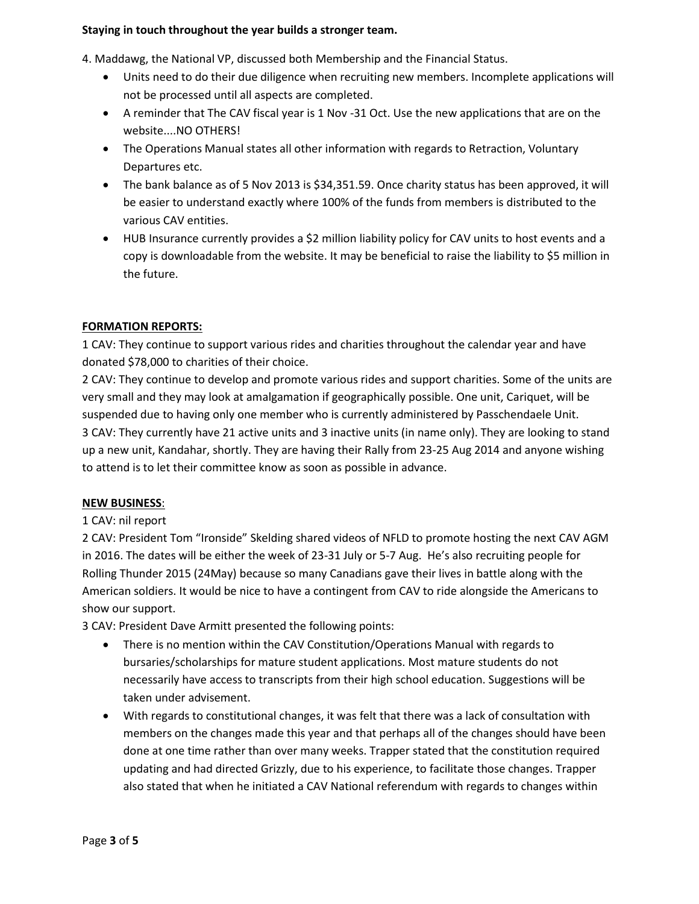#### **Staying in touch throughout the year builds a stronger team.**

4. Maddawg, the National VP, discussed both Membership and the Financial Status.

- Units need to do their due diligence when recruiting new members. Incomplete applications will not be processed until all aspects are completed.
- A reminder that The CAV fiscal year is 1 Nov -31 Oct. Use the new applications that are on the website....NO OTHERS!
- The Operations Manual states all other information with regards to Retraction, Voluntary Departures etc.
- The bank balance as of 5 Nov 2013 is \$34,351.59. Once charity status has been approved, it will be easier to understand exactly where 100% of the funds from members is distributed to the various CAV entities.
- HUB Insurance currently provides a \$2 million liability policy for CAV units to host events and a copy is downloadable from the website. It may be beneficial to raise the liability to \$5 million in the future.

# **FORMATION REPORTS:**

1 CAV: They continue to support various rides and charities throughout the calendar year and have donated \$78,000 to charities of their choice.

2 CAV: They continue to develop and promote various rides and support charities. Some of the units are very small and they may look at amalgamation if geographically possible. One unit, Cariquet, will be suspended due to having only one member who is currently administered by Passchendaele Unit. 3 CAV: They currently have 21 active units and 3 inactive units (in name only). They are looking to stand up a new unit, Kandahar, shortly. They are having their Rally from 23-25 Aug 2014 and anyone wishing to attend is to let their committee know as soon as possible in advance.

# **NEW BUSINESS**:

# 1 CAV: nil report

2 CAV: President Tom "Ironside" Skelding shared videos of NFLD to promote hosting the next CAV AGM in 2016. The dates will be either the week of 23-31 July or 5-7 Aug. He's also recruiting people for Rolling Thunder 2015 (24May) because so many Canadians gave their lives in battle along with the American soldiers. It would be nice to have a contingent from CAV to ride alongside the Americans to show our support.

3 CAV: President Dave Armitt presented the following points:

- There is no mention within the CAV Constitution/Operations Manual with regards to bursaries/scholarships for mature student applications. Most mature students do not necessarily have access to transcripts from their high school education. Suggestions will be taken under advisement.
- With regards to constitutional changes, it was felt that there was a lack of consultation with members on the changes made this year and that perhaps all of the changes should have been done at one time rather than over many weeks. Trapper stated that the constitution required updating and had directed Grizzly, due to his experience, to facilitate those changes. Trapper also stated that when he initiated a CAV National referendum with regards to changes within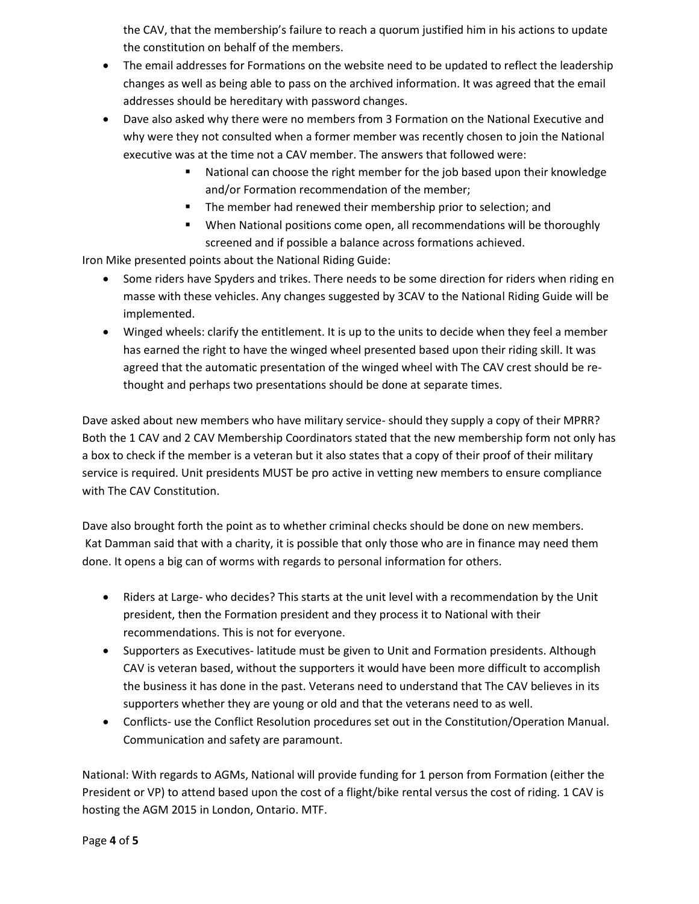the CAV, that the membership's failure to reach a quorum justified him in his actions to update the constitution on behalf of the members.

- The email addresses for Formations on the website need to be updated to reflect the leadership changes as well as being able to pass on the archived information. It was agreed that the email addresses should be hereditary with password changes.
- Dave also asked why there were no members from 3 Formation on the National Executive and why were they not consulted when a former member was recently chosen to join the National executive was at the time not a CAV member. The answers that followed were:
	- National can choose the right member for the job based upon their knowledge and/or Formation recommendation of the member;
	- **The member had renewed their membership prior to selection; and**
	- When National positions come open, all recommendations will be thoroughly screened and if possible a balance across formations achieved.

Iron Mike presented points about the National Riding Guide:

- Some riders have Spyders and trikes. There needs to be some direction for riders when riding en masse with these vehicles. Any changes suggested by 3CAV to the National Riding Guide will be implemented.
- Winged wheels: clarify the entitlement. It is up to the units to decide when they feel a member has earned the right to have the winged wheel presented based upon their riding skill. It was agreed that the automatic presentation of the winged wheel with The CAV crest should be rethought and perhaps two presentations should be done at separate times.

Dave asked about new members who have military service- should they supply a copy of their MPRR? Both the 1 CAV and 2 CAV Membership Coordinators stated that the new membership form not only has a box to check if the member is a veteran but it also states that a copy of their proof of their military service is required. Unit presidents MUST be pro active in vetting new members to ensure compliance with The CAV Constitution.

Dave also brought forth the point as to whether criminal checks should be done on new members. Kat Damman said that with a charity, it is possible that only those who are in finance may need them done. It opens a big can of worms with regards to personal information for others.

- Riders at Large- who decides? This starts at the unit level with a recommendation by the Unit president, then the Formation president and they process it to National with their recommendations. This is not for everyone.
- Supporters as Executives- latitude must be given to Unit and Formation presidents. Although CAV is veteran based, without the supporters it would have been more difficult to accomplish the business it has done in the past. Veterans need to understand that The CAV believes in its supporters whether they are young or old and that the veterans need to as well.
- Conflicts- use the Conflict Resolution procedures set out in the Constitution/Operation Manual. Communication and safety are paramount.

National: With regards to AGMs, National will provide funding for 1 person from Formation (either the President or VP) to attend based upon the cost of a flight/bike rental versus the cost of riding. 1 CAV is hosting the AGM 2015 in London, Ontario. MTF.